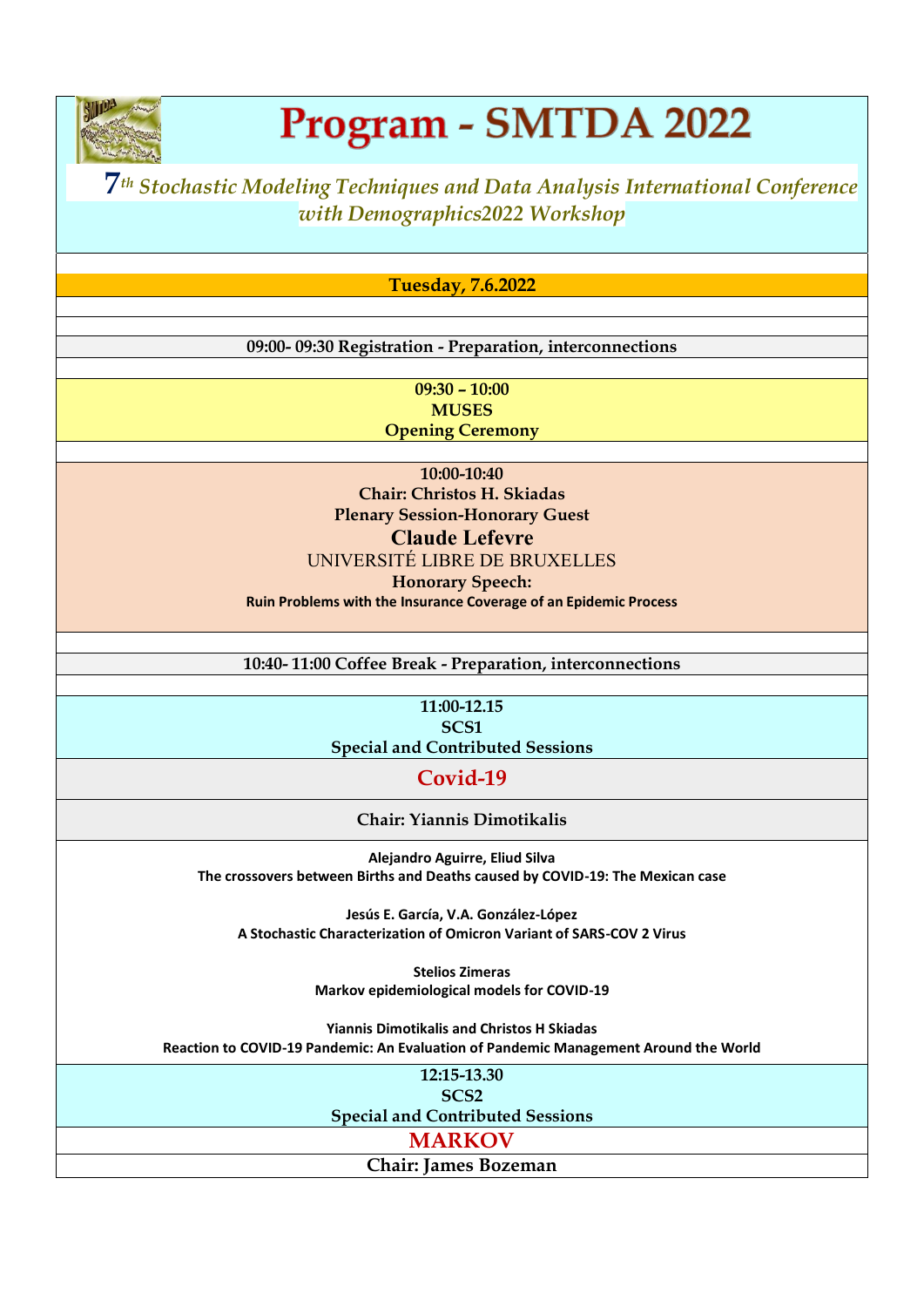

### Program - SMTDA 2022

### **7***th Stochastic Modeling Techniques and Data Analysis International Conference with Demographics2022 Workshop*

**Tuesday, 7.6.2022**

**09:00- 09:30 Registration - Preparation, interconnections**

**09:30 – 10:00 MUSES Opening Ceremony**

**10:00-10:40 Chair: Christos H. Skiadas Plenary Session-Honorary Guest Claude Lefevre** UNIVERSITÉ LIBRE DE BRUXELLES **Honorary Speech: Ruin Problems with the Insurance Coverage of an Epidemic Process**

**10:40- 11:00 Coffee Break - Preparation, interconnections**

**11:00-12.15 SCS1 Special and Contributed Sessions**

**Covid-19**

**Chair: Yiannis Dimotikalis**

**Alejandro Aguirre, Eliud Silva The crossovers between Births and Deaths caused by COVID-19: The Mexican case**

**Jesús E. García, V.A. González-López A Stochastic Characterization of Omicron Variant of SARS-COV 2 Virus**

> **Stelios Zimeras Markov epidemiological models for COVID-19**

**Yiannis Dimotikalis and Christos H Skiadas Reaction to COVID-19 Pandemic: An Evaluation of Pandemic Management Around the World**

**12:15-13.30**

**SCS2 Special and Contributed Sessions**

**MARKOV**

**Chair: James Bozeman**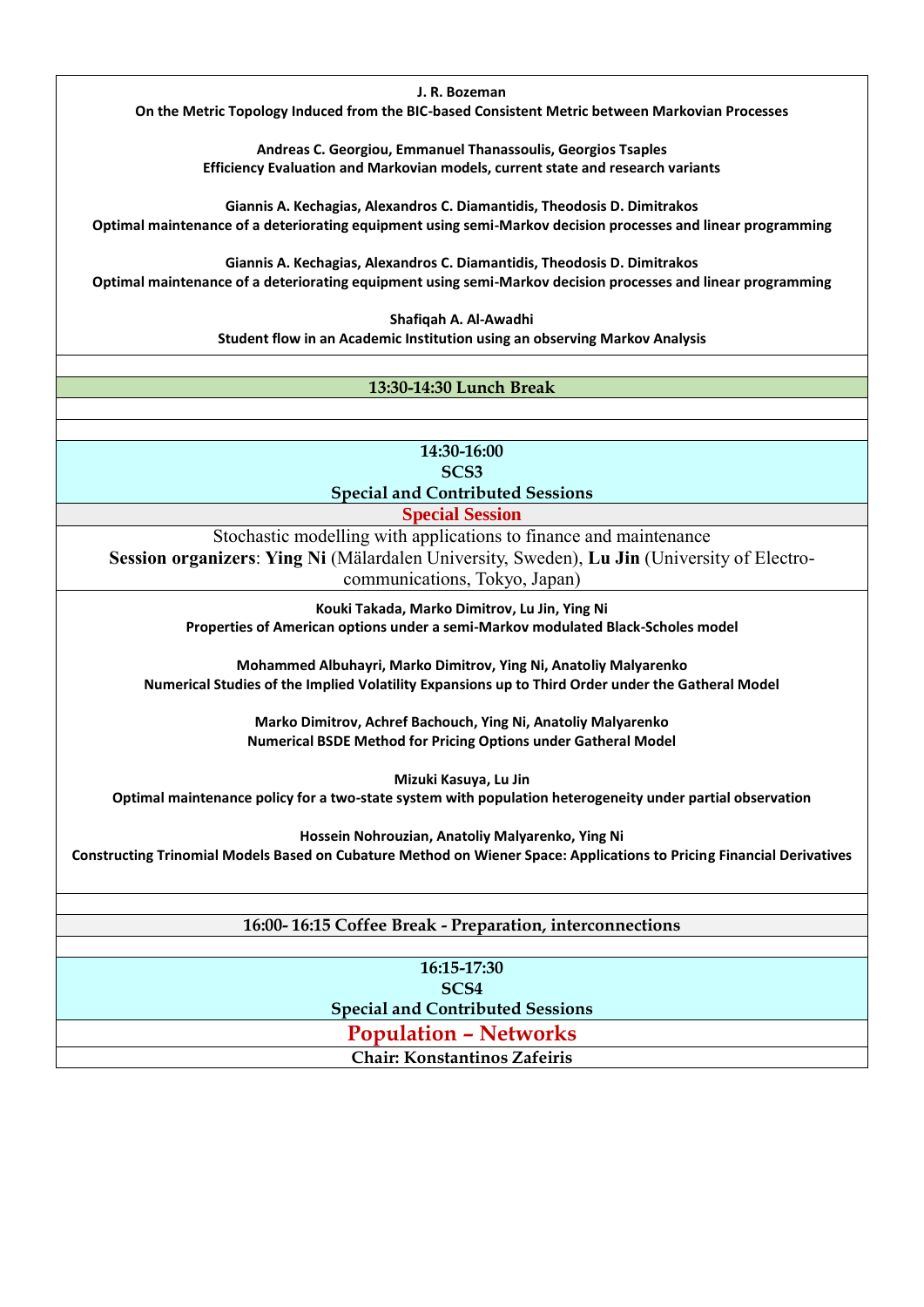**J. R. Bozeman**

**On the Metric Topology Induced from the BIC-based Consistent Metric between Markovian Processes**

**Andreas C. Georgiou, Emmanuel Thanassoulis, Georgios Tsaples Efficiency Evaluation and Markovian models, current state and research variants**

**Giannis A. Kechagias, Alexandros C. Diamantidis, Theodosis D. Dimitrakos Optimal maintenance of a deteriorating equipment using semi-Markov decision processes and linear programming**

**Giannis A. Kechagias, Alexandros C. Diamantidis, Theodosis D. Dimitrakos Optimal maintenance of a deteriorating equipment using semi-Markov decision processes and linear programming**

> **Shafiqah A. Al-Awadhi Student flow in an Academic Institution using an observing Markov Analysis**

#### **13:30-14:30 Lunch Break**

**14:30-16:00 SCS3 Special and Contributed Sessions**

**Special Session** 

Stochastic modelling with applications to finance and maintenance **Session organizers**: **Ying Ni** (Mälardalen University, Sweden), **Lu Jin** (University of Electrocommunications, Tokyo, Japan)

> **Kouki Takada, Marko Dimitrov, Lu Jin, Ying Ni Properties of American options under a semi-Markov modulated Black-Scholes model**

**Mohammed Albuhayri, Marko Dimitrov, Ying Ni, Anatoliy Malyarenko Numerical Studies of the Implied Volatility Expansions up to Third Order under the Gatheral Model**

> **Marko Dimitrov, Achref Bachouch, Ying Ni, Anatoliy Malyarenko Numerical BSDE Method for Pricing Options under Gatheral Model**

**Mizuki Kasuya, Lu Jin**

**Optimal maintenance policy for a two-state system with population heterogeneity under partial observation**

**Hossein Nohrouzian, Anatoliy Malyarenko, Ying Ni Constructing Trinomial Models Based on Cubature Method on Wiener Space: Applications to Pricing Financial Derivatives**

**16:00- 16:15 Coffee Break - Preparation, interconnections**

**16:15-17:30 SCS4 Special and Contributed Sessions**

**Population – Networks**

**Chair: Konstantinos Zafeiris**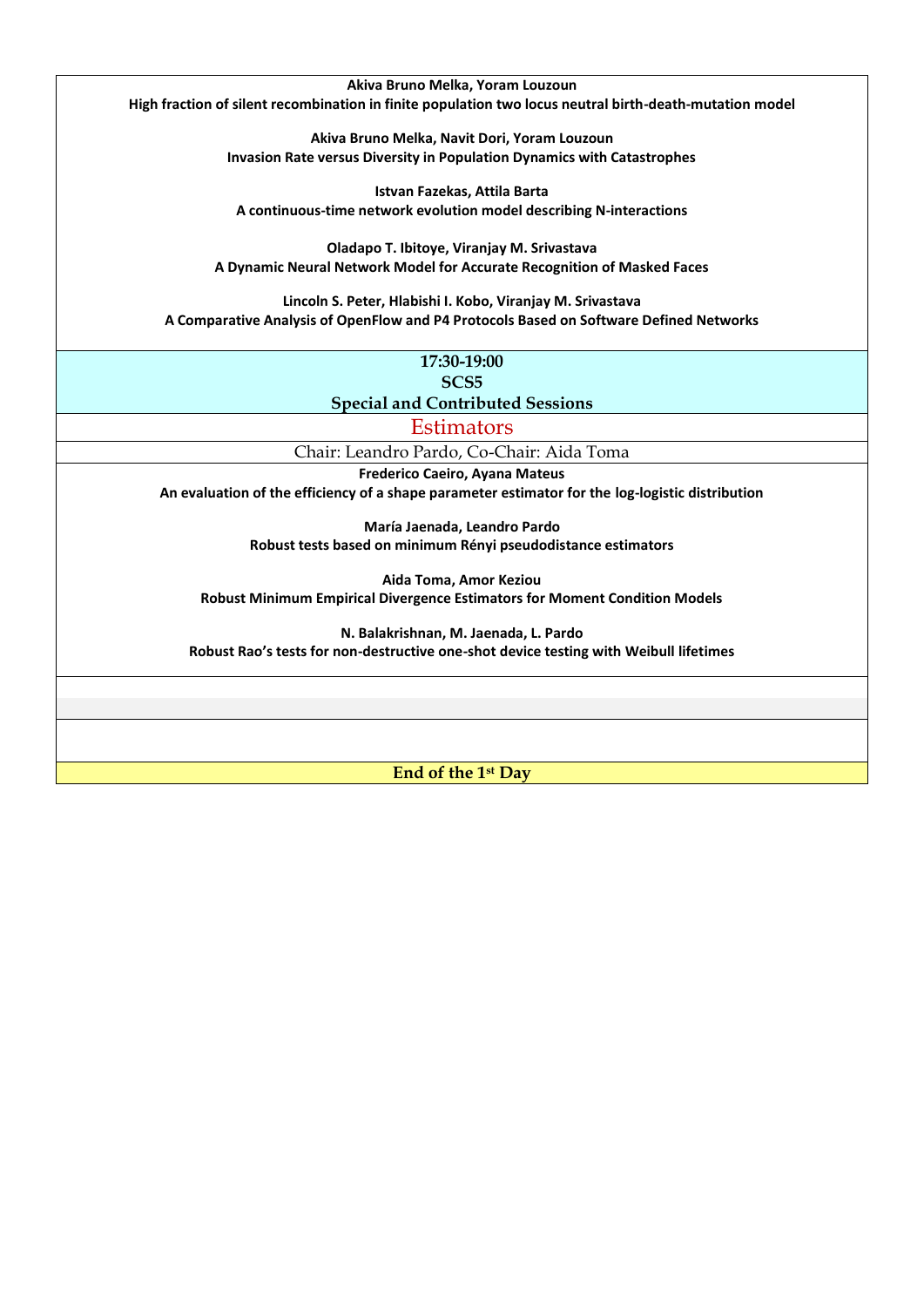**Akiva Bruno Melka, Yoram Louzoun High fraction of silent recombination in finite population two locus neutral birth-death-mutation model**

> **Akiva Bruno Melka, Navit Dori, Yoram Louzoun Invasion Rate versus Diversity in Population Dynamics with Catastrophes**

**Istvan Fazekas, Attila Barta A continuous-time network evolution model describing N-interactions**

**Oladapo T. Ibitoye, Viranjay M. Srivastava A Dynamic Neural Network Model for Accurate Recognition of Masked Faces**

**Lincoln S. Peter, Hlabishi I. Kobo, Viranjay M. Srivastava A Comparative Analysis of OpenFlow and P4 Protocols Based on Software Defined Networks**

| 17:30-19:00              |
|--------------------------|
| SCS <sub>5</sub>         |
| $1$ and Contributed $20$ |

**Special and Contributed Sessions**

**Estimators** 

Chair: Leandro Pardo, Co-Chair: Aida Toma

**Frederico Caeiro, Ayana Mateus An evaluation of the efficiency of a shape parameter estimator for the log-logistic distribution**

> **María Jaenada, Leandro Pardo Robust tests based on minimum Rényi pseudodistance estimators**

**Aida Toma, Amor Keziou Robust Minimum Empirical Divergence Estimators for Moment Condition Models**

**N. Balakrishnan, M. Jaenada, L. Pardo Robust Rao's tests for non-destructive one-shot device testing with Weibull lifetimes**

**End of the 1st Day**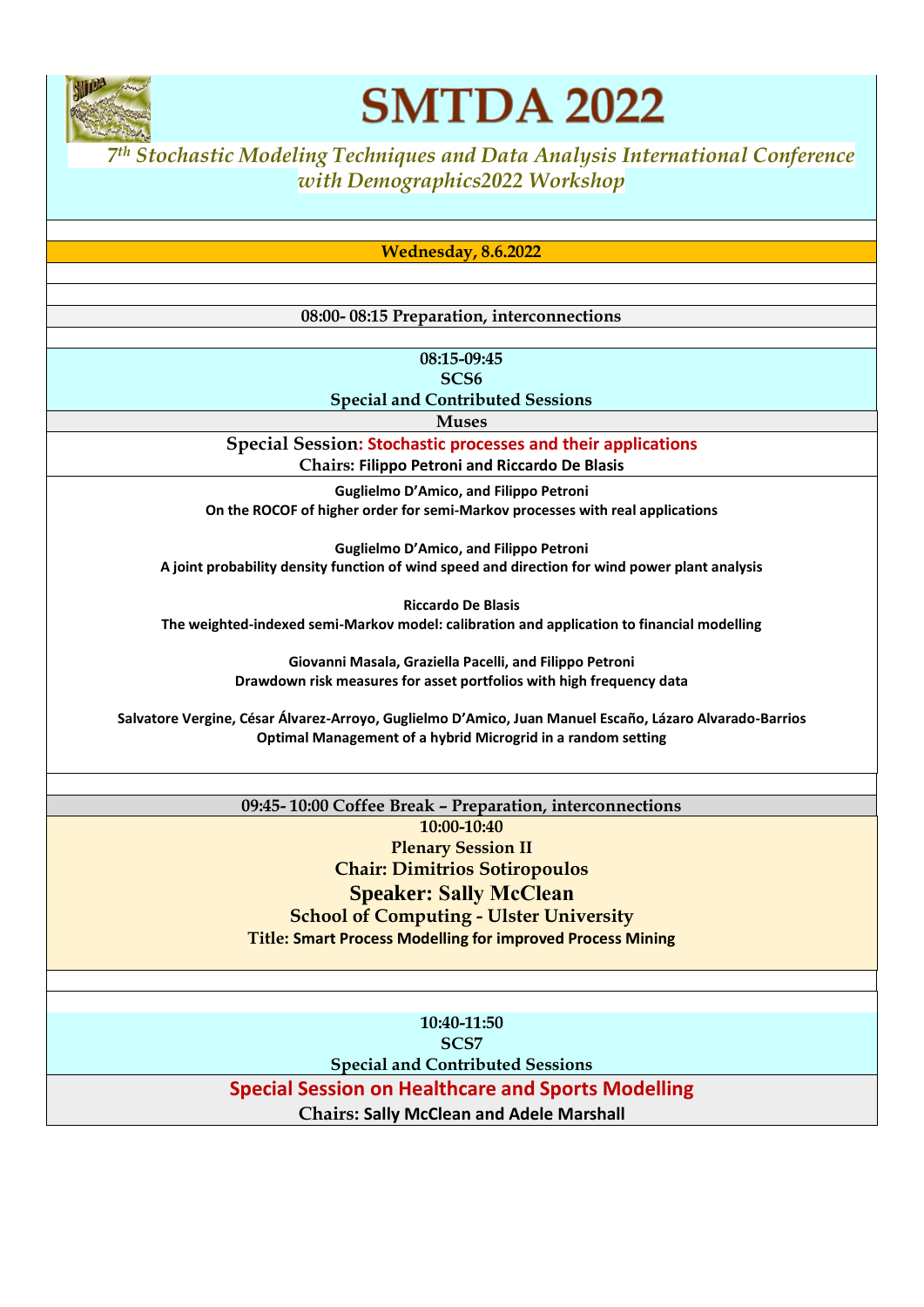

## **SMTDA 2022**

*<sup>7</sup> th Stochastic Modeling Techniques and Data Analysis International Conference with Demographics2022 Workshop*

**Wednesday, 8.6.2022**

#### **08:00- 08:15 Preparation, interconnections**

**08:15-09:45 SCS6**

**Special and Contributed Sessions**

**Muses**

**Special Session: Stochastic processes and their applications**

**Chairs: Filippo Petroni and Riccardo De Blasis**

**Guglielmo D'Amico, and Filippo Petroni On the ROCOF of higher order for semi-Markov processes with real applications**

**Guglielmo D'Amico, and Filippo Petroni A joint probability density function of wind speed and direction for wind power plant analysis**

**Riccardo De Blasis The weighted-indexed semi-Markov model: calibration and application to financial modelling**

> **Giovanni Masala, Graziella Pacelli, and Filippo Petroni Drawdown risk measures for asset portfolios with high frequency data**

**Salvatore Vergine, César Álvarez-Arroyo, Guglielmo D'Amico, Juan Manuel Escaño, Lázaro Alvarado-Barrios Optimal Management of a hybrid Microgrid in a random setting**

> **09:45- 10:00 Coffee Break – Preparation, interconnections 10:00-10:40 Plenary Session II Chair: Dimitrios Sotiropoulos Speaker: Sally McClean School of Computing - Ulster University Title: Smart Process Modelling for improved Process Mining**

> > **10:40-11:50 SCS7**

**Special and Contributed Sessions**

**Special Session on Healthcare and Sports Modelling**

**Chairs: Sally McClean and Adele Marshall**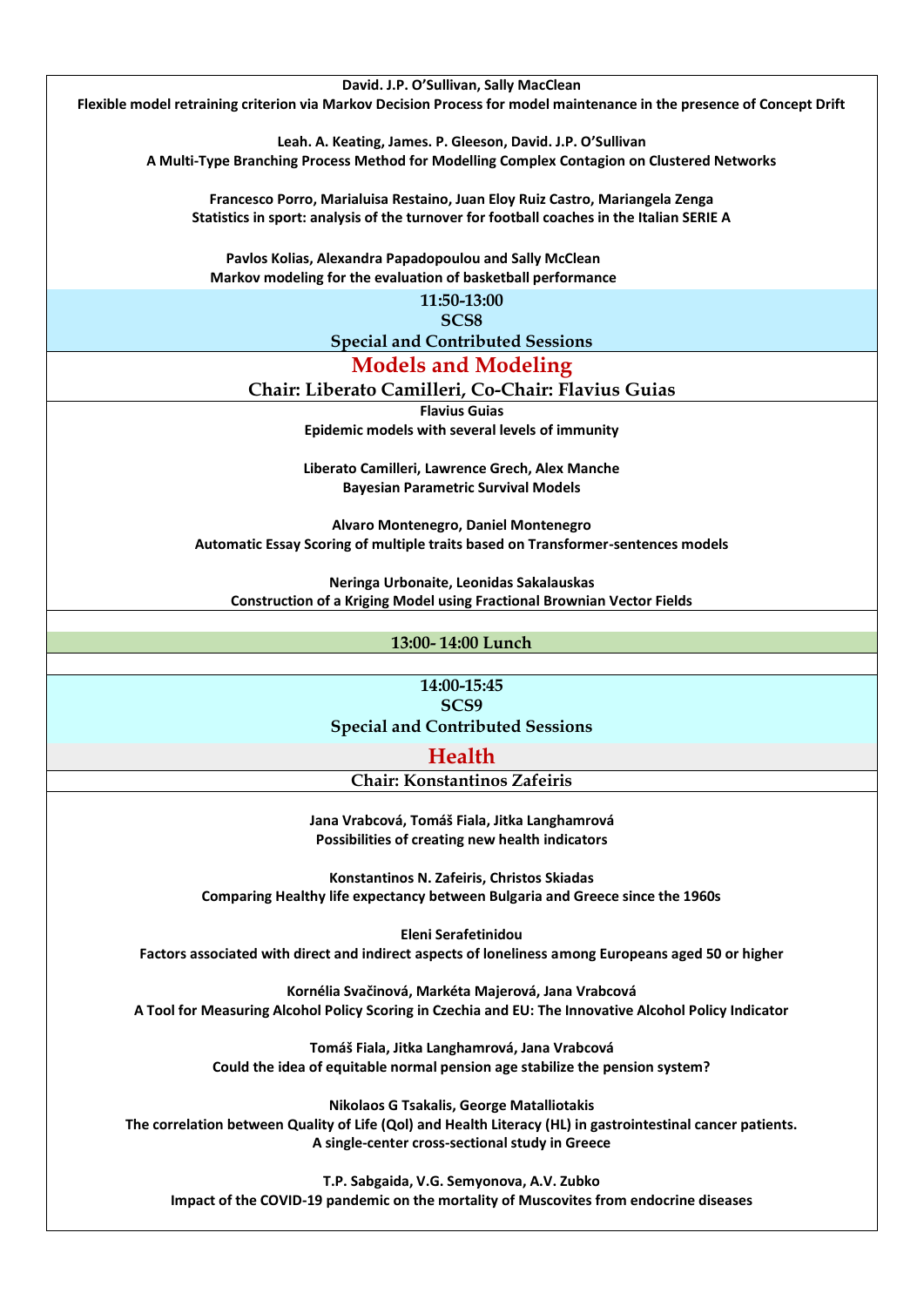**David. J.P. O'Sullivan, Sally MacClean Flexible model retraining criterion via Markov Decision Process for model maintenance in the presence of Concept Drift Leah. A. Keating, James. P. Gleeson, David. J.P. O'Sullivan A Multi-Type Branching Process Method for Modelling Complex Contagion on Clustered Networks Francesco Porro, Marialuisa Restaino, Juan Eloy Ruiz Castro, Mariangela Zenga Statistics in sport: analysis of the turnover for football coaches in the Italian SERIE A Pavlos Kolias, Alexandra Papadopoulou and Sally McClean Markov modeling for the evaluation of basketball performance 11:50-13:00 SCS8 Special and Contributed Sessions Models and Modeling Chair: Liberato Camilleri, Co-Chair: Flavius Guias Flavius Guias Epidemic models with several levels of immunity Liberato Camilleri, Lawrence Grech, Alex Manche Bayesian Parametric Survival Models Alvaro Montenegro, Daniel Montenegro Automatic Essay Scoring of multiple traits based on Transformer-sentences models Neringa Urbonaite, Leonidas Sakalauskas Construction of a Kriging Model using Fractional Brownian Vector Fields 13:00- 14:00 Lunch 14:00-15:45 SCS9 Special and Contributed Sessions Health Chair: Konstantinos Zafeiris Jana Vrabcová, Tomáš Fiala, Jitka Langhamrová Possibilities of creating new health indicators Konstantinos N. Zafeiris, Christos Skiadas Comparing Healthy life expectancy between Bulgaria and Greece since the 1960s Eleni Serafetinidou Factors associated with direct and indirect aspects of loneliness among Europeans aged 50 or higher Kornélia Svačinová, Markéta Majerová, Jana Vrabcová A Tool for Measuring Alcohol Policy Scoring in Czechia and EU: The Innovative Alcohol Policy Indicator Tomáš Fiala, Jitka Langhamrová, Jana Vrabcová Could the idea of equitable normal pension age stabilize the pension system? Nikolaos G Tsakalis, George Matalliotakis The correlation between Quality of Life (Qol) and Health Literacy (HL) in gastrointestinal cancer patients.** 

**A single-center cross-sectional study in Greece**

**T.P. Sabgaida, V.G. Semyonova, A.V. Zubko Impact of the COVID-19 pandemic on the mortality of Muscovites from endocrine diseases**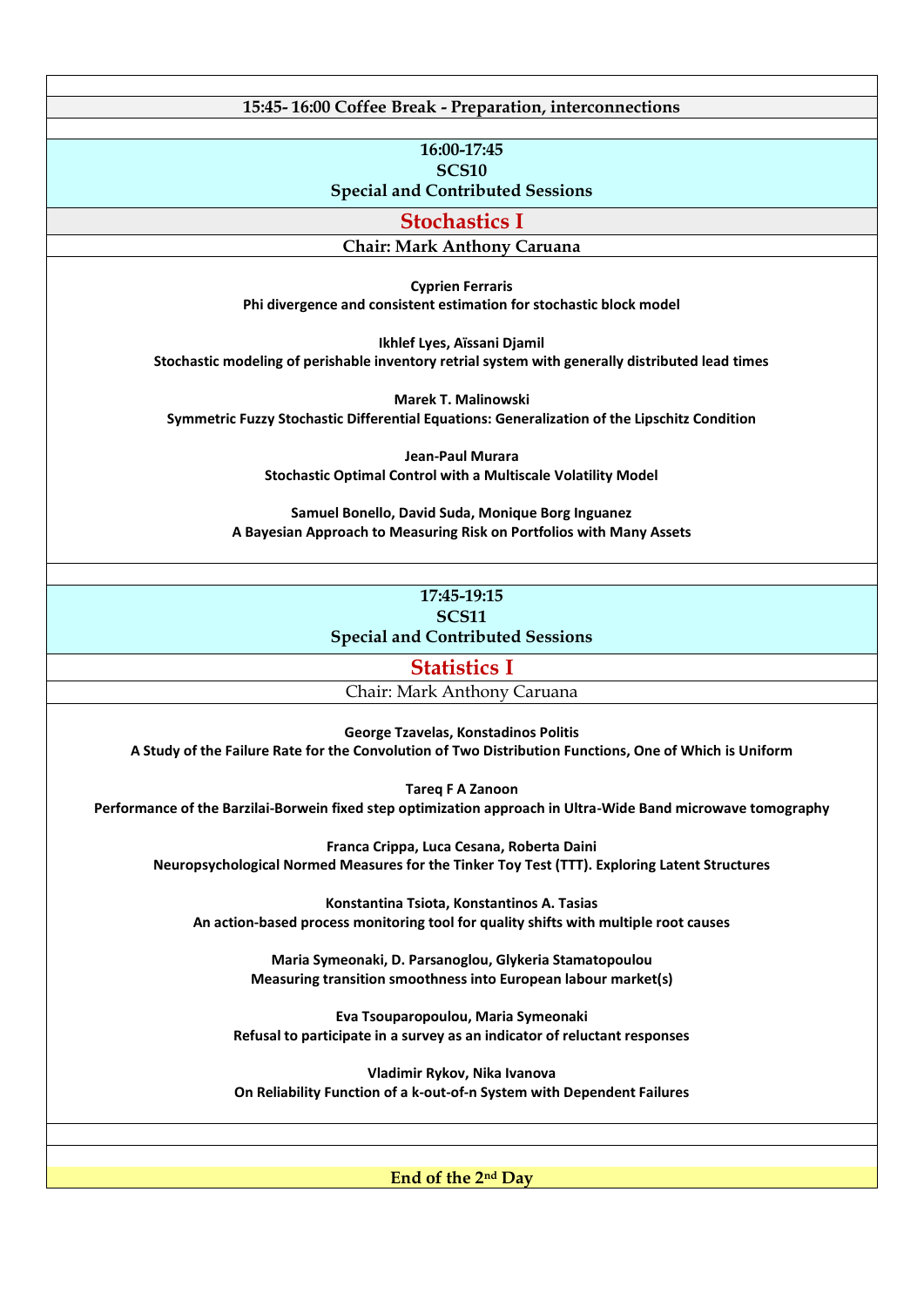**15:45- 16:00 Coffee Break - Preparation, interconnections**

**16:00-17:45 SCS10** 

**Special and Contributed Sessions**

**Stochastics I**

**Chair: Mark Anthony Caruana**

**Cyprien Ferraris Phi divergence and consistent estimation for stochastic block model**

**Ikhlef Lyes, Aïssani Djamil Stochastic modeling of perishable inventory retrial system with generally distributed lead times**

**Marek T. Malinowski Symmetric Fuzzy Stochastic Differential Equations: Generalization of the Lipschitz Condition**

> **Jean-Paul Murara Stochastic Optimal Control with a Multiscale Volatility Model**

**Samuel Bonello, David Suda, Monique Borg Inguanez A Bayesian Approach to Measuring Risk on Portfolios with Many Assets**

#### **17:45-19:15 SCS11 Special and Contributed Sessions**

**Statistics I**

Chair: Mark Anthony Caruana

**George Tzavelas, Konstadinos Politis**

**A Study of the Failure Rate for the Convolution of Two Distribution Functions, One of Which is Uniform**

**Tareq F A Zanoon**

**Performance of the Barzilai-Borwein fixed step optimization approach in Ultra-Wide Band microwave tomography**

**Franca Crippa, Luca Cesana, Roberta Daini Neuropsychological Normed Measures for the Tinker Toy Test (TTT). Exploring Latent Structures**

**Konstantina Tsiota, Konstantinos A. Tasias An action-based process monitoring tool for quality shifts with multiple root causes**

> **Maria Symeonaki, D. Parsanoglou, Glykeria Stamatopoulou Measuring transition smoothness into European labour market(s)**

**Eva Tsouparopoulou, Maria Symeonaki Refusal to participate in a survey as an indicator of reluctant responses**

**Vladimir Rykov, Nika Ivanova On Reliability Function of a k-out-of-n System with Dependent Failures**

**End of the 2nd Day**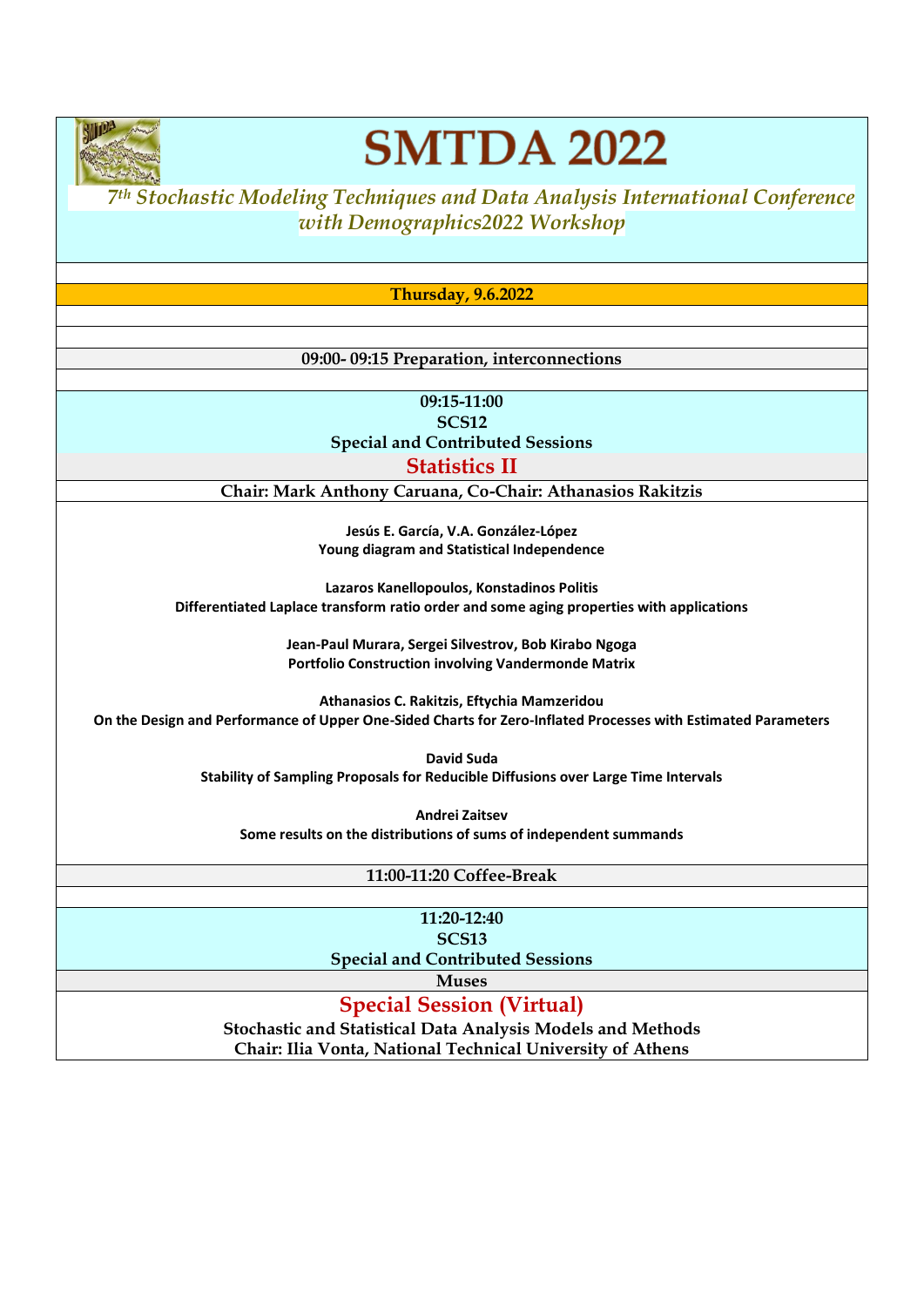

# **SMTDA 2022**

*<sup>7</sup> th Stochastic Modeling Techniques and Data Analysis International Conference with Demographics2022 Workshop*

**Thursday, 9.6.2022**

#### **09:00- 09:15 Preparation, interconnections**

**09:15-11:00 SCS12 Special and Contributed Sessions Statistics II**

**Chair: Mark Anthony Caruana, Co-Chair: Athanasios Rakitzis**

**Jesús E. García, V.A. González-López Young diagram and Statistical Independence**

**Lazaros Kanellopoulos, Konstadinos Politis Differentiated Laplace transform ratio order and some aging properties with applications**

> **Jean-Paul Murara, Sergei Silvestrov, Bob Kirabo Ngoga Portfolio Construction involving Vandermonde Matrix**

**Athanasios C. Rakitzis, Eftychia Mamzeridou On the Design and Performance of Upper One-Sided Charts for Zero-Inflated Processes with Estimated Parameters**

> **David Suda Stability of Sampling Proposals for Reducible Diffusions over Large Time Intervals**

**Andrei Zaitsev Some results on the distributions of sums of independent summands**

**11:00-11:20 Coffee-Break**

**11:20-12:40 SCS13 Special and Contributed Sessions**

**Muses**

**Special Session (Virtual)**

**Stochastic and Statistical Data Analysis Models and Methods Chair: Ilia Vonta, National Technical University of Athens**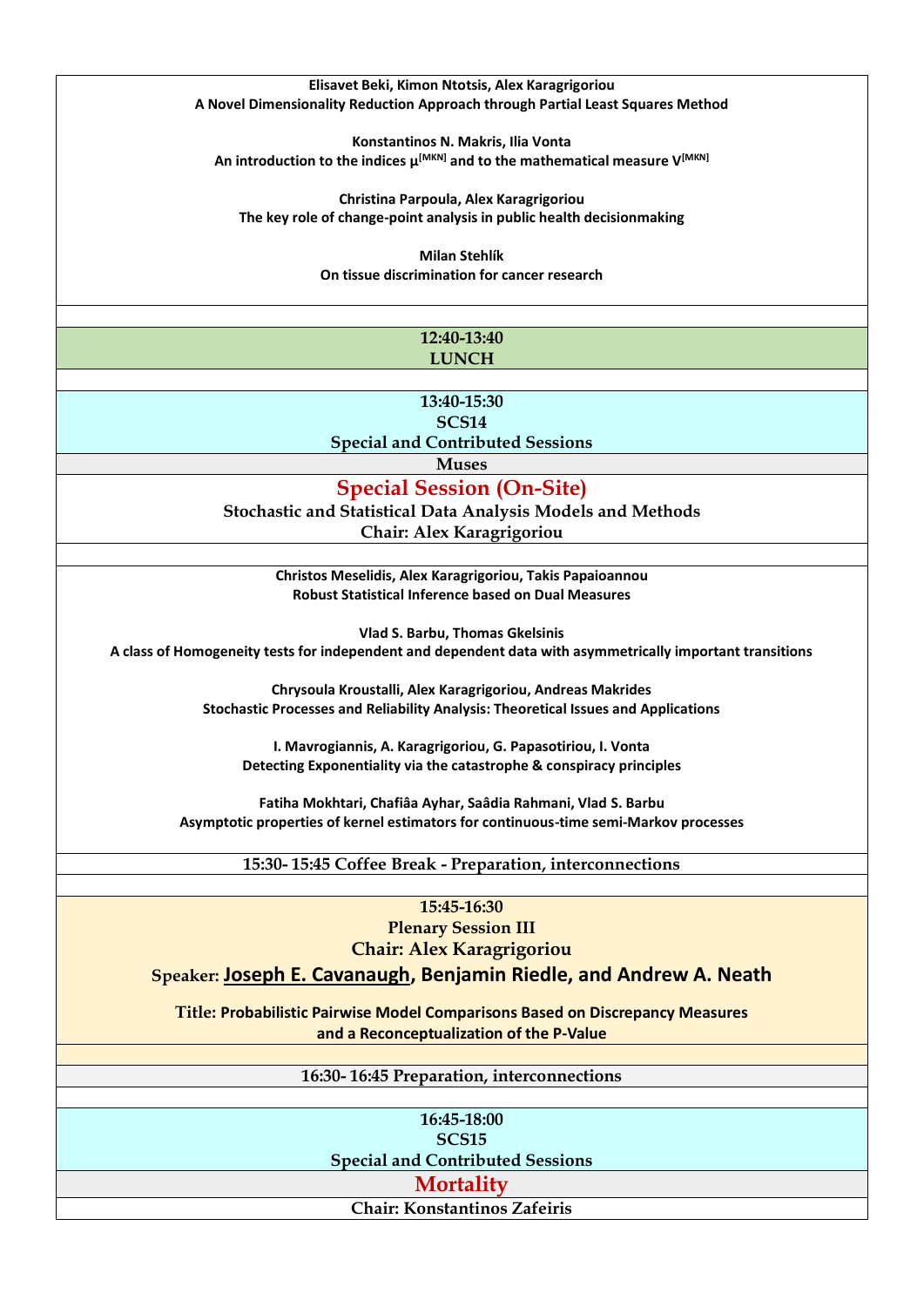#### **Elisavet Beki, Kimon Ntotsis, Alex Karagrigoriou A Novel Dimensionality Reduction Approach through Partial Least Squares Method**

**Konstantinos N. Makris, Ilia Vonta An introduction to the indices μ[MKN] and to the mathematical measure V[MKN]**

**Christina Parpoula, Alex Karagrigoriou The key role of change-point analysis in public health decisionmaking**

> **Milan Stehlík On tissue discrimination for cancer research**

#### **12:40-13:40 LUNCH**

**13:40-15:30 SCS14**

**Special and Contributed Sessions**

**Muses**

**Special Session (On-Site)**

**Stochastic and Statistical Data Analysis Models and Methods Chair: Alex Karagrigoriou**

**Christos Meselidis, Alex Karagrigoriou, Takis Papaioannou Robust Statistical Inference based on Dual Measures**

**Vlad S. Barbu, Thomas Gkelsinis A class of Homogeneity tests for independent and dependent data with asymmetrically important transitions**

> **Chrysoula Kroustalli, Alex Karagrigoriou, Andreas Makrides Stochastic Processes and Reliability Analysis: Theoretical Issues and Applications**

**I. Mavrogiannis, A. Karagrigoriou, G. Papasotiriou, I. Vonta Detecting Exponentiality via the catastrophe & conspiracy principles**

**Fatiha Mokhtari, Chafiâa Ayhar, Saâdia Rahmani, Vlad S. Barbu Asymptotic properties of kernel estimators for continuous-time semi-Markov processes**

**15:30- 15:45 Coffee Break - Preparation, interconnections**

**15:45-16:30 Plenary Session III Chair: Alex Karagrigoriou**

**Speaker: Joseph E. Cavanaugh, Benjamin Riedle, and Andrew A. Neath**

**Title: Probabilistic Pairwise Model Comparisons Based on Discrepancy Measures and a Reconceptualization of the P-Value**

**16:30- 16:45 Preparation, interconnections**

**16:45-18:00 SCS15 Special and Contributed Sessions**

**Mortality**

**Chair: Konstantinos Zafeiris**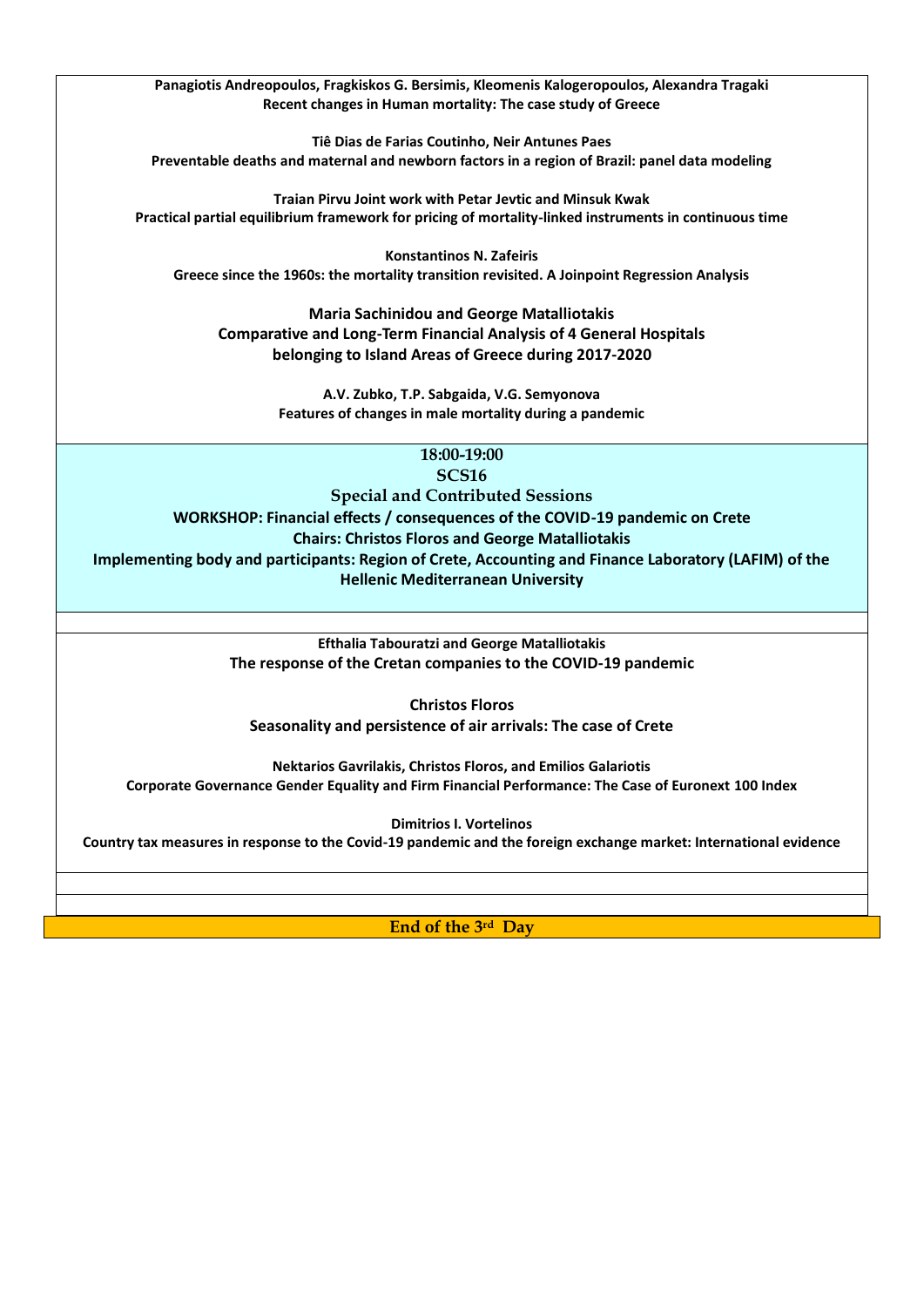**Panagiotis Andreopoulos, Fragkiskos G. Bersimis, Kleomenis Kalogeropoulos, Alexandra Tragaki Recent changes in Human mortality: The case study of Greece**

**Tiê Dias de Farias Coutinho, Neir Antunes Paes Preventable deaths and maternal and newborn factors in a region of Brazil: panel data modeling**

**Traian Pirvu Joint work with Petar Jevtic and Minsuk Kwak Practical partial equilibrium framework for pricing of mortality-linked instruments in continuous time**

**Konstantinos N. Zafeiris Greece since the 1960s: the mortality transition revisited. A Joinpoint Regression Analysis**

**Maria Sachinidou and George Matalliotakis Comparative and Long-Term Financial Analysis of 4 General Hospitals belonging to Island Areas of Greece during 2017-2020**

> **A.V. Zubko, T.P. Sabgaida, V.G. Semyonova Features of changes in male mortality during a pandemic**

> > **18:00-19:00 SCS16**

**Special and Contributed Sessions**

**WORKSHOP: Financial effects / consequences of the COVID-19 pandemic on Crete Chairs: Christos Floros and George Matalliotakis Implementing body and participants: Region of Crete, Accounting and Finance Laboratory (LAFIM) of the Hellenic Mediterranean University**

> **Efthalia Tabouratzi and George Matalliotakis The response of the Cretan companies to the COVID-19 pandemic**

**Christos Floros Seasonality and persistence of air arrivals: The case of Crete**

**Nektarios Gavrilakis, Christos Floros, and Emilios Galariotis Corporate Governance Gender Equality and Firm Financial Performance: The Case of Euronext 100 Index** 

**Dimitrios I. Vortelinos**

**Country tax measures in response to the Covid-19 pandemic and the foreign exchange market: International evidence**

**End of the 3rd Day**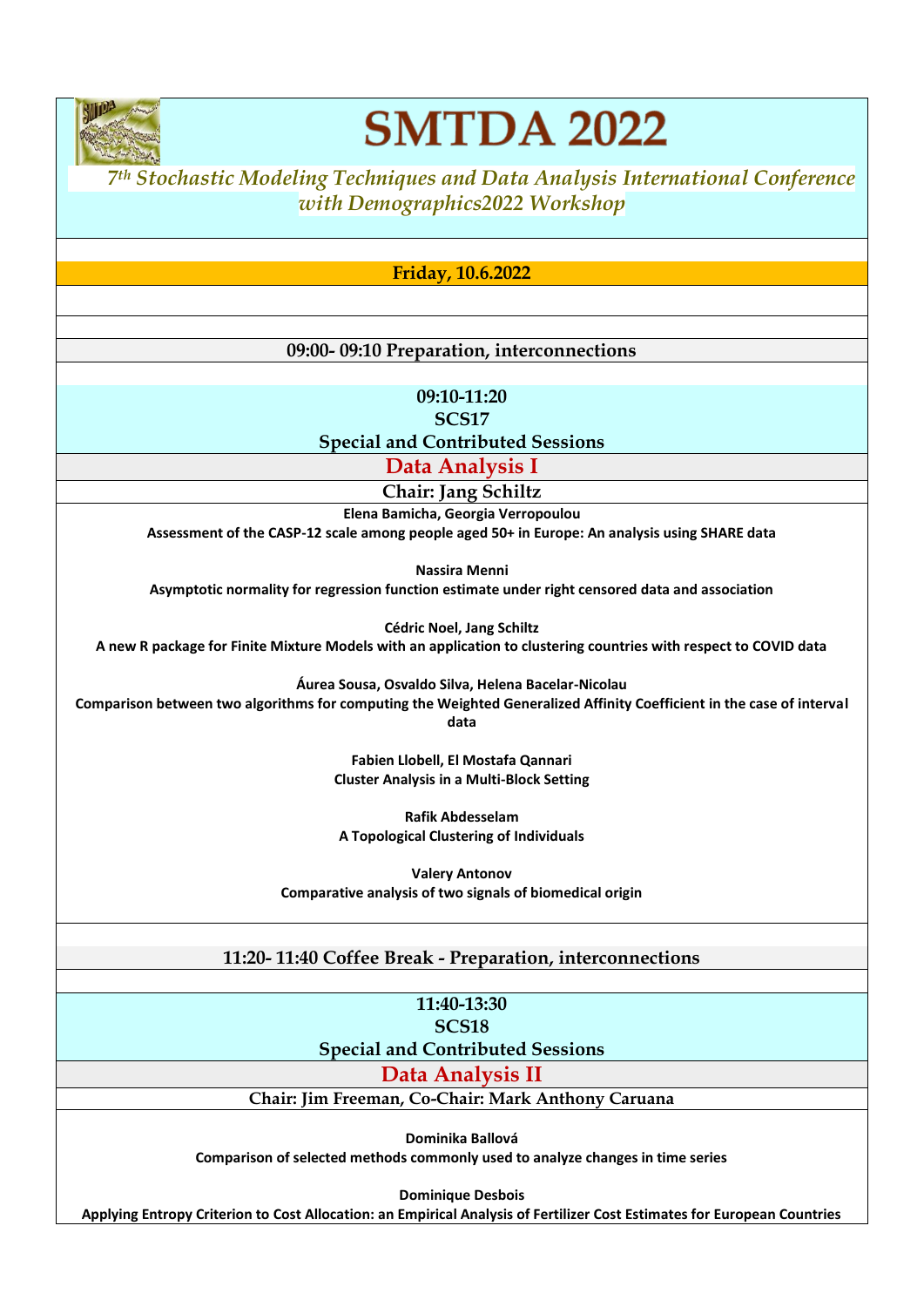

## **SMTDA 2022**

### *<sup>7</sup> th Stochastic Modeling Techniques and Data Analysis International Conference with Demographics2022 Workshop*

**Friday, 10.6.2022**

**09:00- 09:10 Preparation, interconnections**

**09:10-11:20 SCS17**

**Special and Contributed Sessions**

**Data Analysis I**

**Chair: Jang Schiltz**

**Elena Bamicha, Georgia Verropoulou Assessment of the CASP-12 scale among people aged 50+ in Europe: An analysis using SHARE data**

**Nassira Menni Asymptotic normality for regression function estimate under right censored data and association**

**Cédric Noel, Jang Schiltz A new R package for Finite Mixture Models with an application to clustering countries with respect to COVID data**

**Áurea Sousa, Osvaldo Silva, Helena Bacelar-Nicolau**

**Comparison between two algorithms for computing the Weighted Generalized Affinity Coefficient in the case of interval data**

> **Fabien Llobell, El Mostafa Qannari Cluster Analysis in a Multi-Block Setting**

**Rafik Abdesselam A Topological Clustering of Individuals**

**Valery Antonov Comparative analysis of two signals of biomedical origin**

#### **11:20- 11:40 Coffee Break - Preparation, interconnections**

**11:40-13:30 SCS18**

**Special and Contributed Sessions**

**Data Analysis II**

**Chair: Jim Freeman, Co-Chair: Mark Anthony Caruana**

**Dominika Ballová**

**Comparison of selected methods commonly used to analyze changes in time series**

**Dominique Desbois**

**Applying Entropy Criterion to Cost Allocation: an Empirical Analysis of Fertilizer Cost Estimates for European Countries**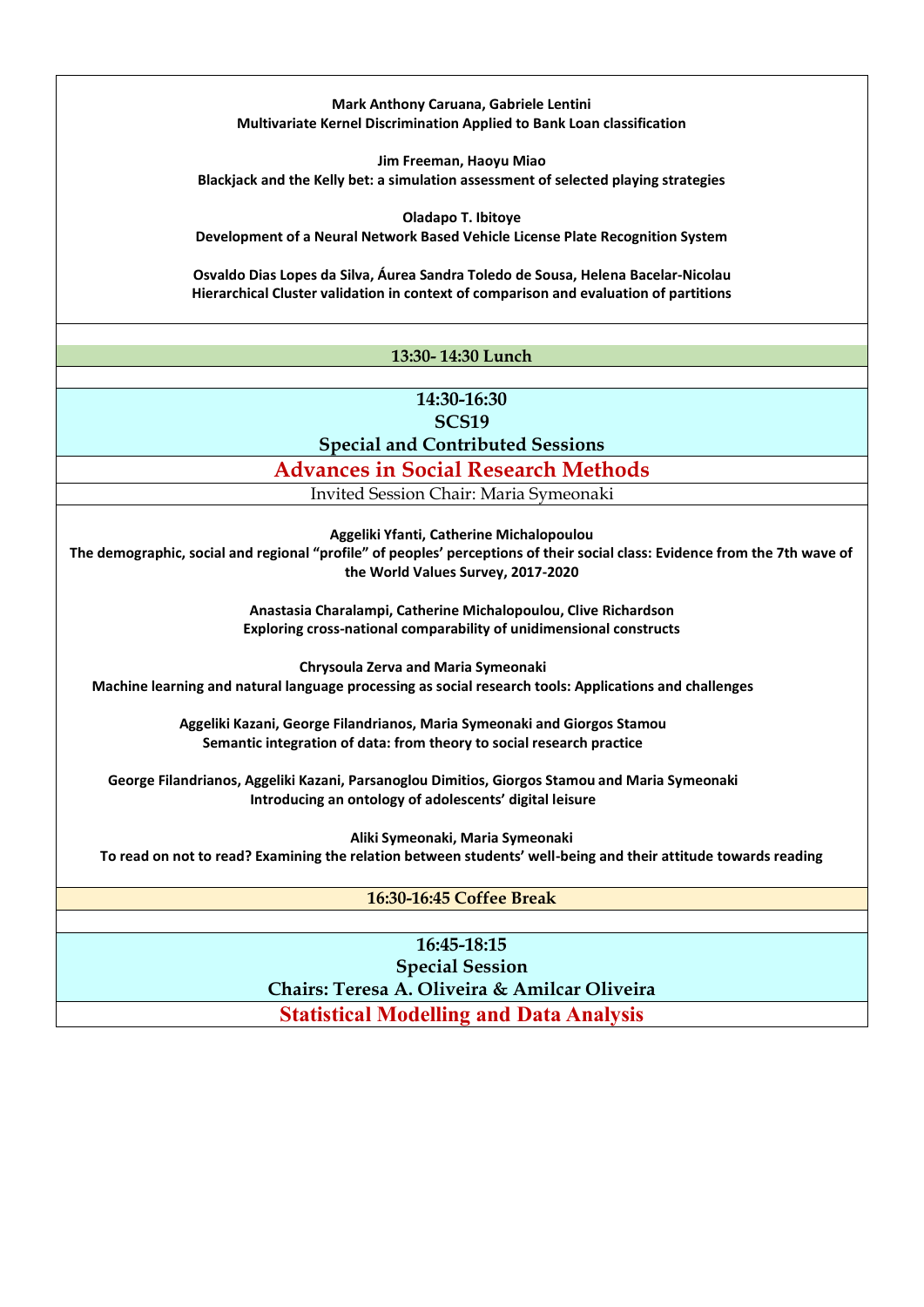**Mark Anthony Caruana, Gabriele Lentini Multivariate Kernel Discrimination Applied to Bank Loan classification**

**Jim Freeman, Haoyu Miao Blackjack and the Kelly bet: a simulation assessment of selected playing strategies**

**Oladapo T. Ibitoye**

**Development of a Neural Network Based Vehicle License Plate Recognition System**

**Osvaldo Dias Lopes da Silva, Áurea Sandra Toledo de Sousa, Helena Bacelar-Nicolau Hierarchical Cluster validation in context of comparison and evaluation of partitions**

#### **13:30- 14:30 Lunch**

**14:30-16:30 SCS19 Special and Contributed Sessions**

**Advances in Social Research Methods**

Invited Session Chair: Maria Symeonaki

**Aggeliki Yfanti, Catherine Michalopoulou**

**The demographic, social and regional "profile" of peoples' perceptions of their social class: Evidence from the 7th wave of the World Values Survey, 2017-2020**

> **Anastasia Charalampi, Catherine Michalopoulou, Clive Richardson Exploring cross-national comparability of unidimensional constructs**

**Chrysoula Zerva and Maria Symeonaki Machine learning and natural language processing as social research tools: Applications and challenges**

> **Aggeliki Kazani, George Filandrianos, Maria Symeonaki and Giorgos Stamou Semantic integration of data: from theory to social research practice**

**George Filandrianos, Aggeliki Kazani, Parsanoglou Dimitios, Giorgos Stamou and Maria Symeonaki Introducing an ontology of adolescents' digital leisure**

**Aliki Symeonaki, Maria Symeonaki To read on not to read? Examining the relation between students' well-being and their attitude towards reading** 

**16:30-16:45 Coffee Break**

**16:45-18:15 Special Session Chairs: Teresa A. Oliveira & Amilcar Oliveira Statistical Modelling and Data Analysis**